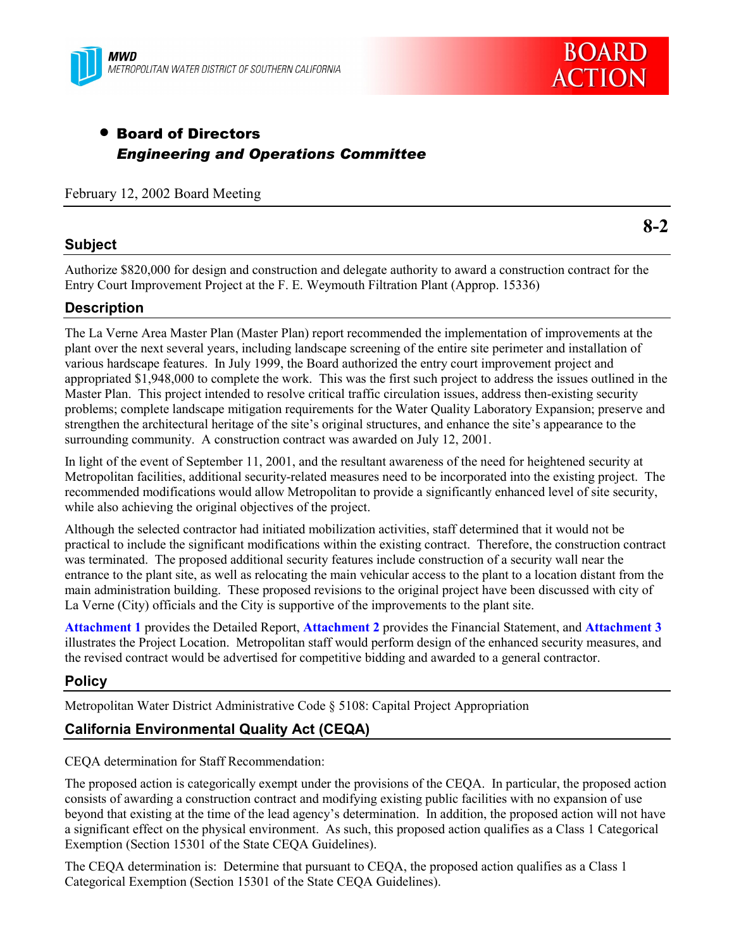



# • Board of Directors *Engineering and Operations Committee*

February 12, 2002 Board Meeting

### **Subject**

**8-2**

Authorize \$820,000 for design and construction and delegate authority to award a construction contract for the Entry Court Improvement Project at the F. E. Weymouth Filtration Plant (Approp. 15336)

### **Description**

The La Verne Area Master Plan (Master Plan) report recommended the implementation of improvements at the plant over the next several years, including landscape screening of the entire site perimeter and installation of various hardscape features. In July 1999, the Board authorized the entry court improvement project and appropriated \$1,948,000 to complete the work. This was the first such project to address the issues outlined in the Master Plan. This project intended to resolve critical traffic circulation issues, address then-existing security problems; complete landscape mitigation requirements for the Water Quality Laboratory Expansion; preserve and strengthen the architectural heritage of the site's original structures, and enhance the site's appearance to the surrounding community. A construction contract was awarded on July 12, 2001.

In light of the event of September 11, 2001, and the resultant awareness of the need for heightened security at Metropolitan facilities, additional security-related measures need to be incorporated into the existing project. The recommended modifications would allow Metropolitan to provide a significantly enhanced level of site security, while also achieving the original objectives of the project.

Although the selected contractor had initiated mobilization activities, staff determined that it would not be practical to include the significant modifications within the existing contract. Therefore, the construction contract was terminated. The proposed additional security features include construction of a security wall near the entrance to the plant site, as well as relocating the main vehicular access to the plant to a location distant from the main administration building. These proposed revisions to the original project have been discussed with city of La Verne (City) officials and the City is supportive of the improvements to the plant site.

**Attachment 1** provides the Detailed Report, **Attachment 2** provides the Financial Statement, and **Attachment 3** illustrates the Project Location. Metropolitan staff would perform design of the enhanced security measures, and the revised contract would be advertised for competitive bidding and awarded to a general contractor.

### **Policy**

Metropolitan Water District Administrative Code ß 5108: Capital Project Appropriation

### **California Environmental Quality Act (CEQA)**

CEQA determination for Staff Recommendation:

The proposed action is categorically exempt under the provisions of the CEQA. In particular, the proposed action consists of awarding a construction contract and modifying existing public facilities with no expansion of use beyond that existing at the time of the lead agency's determination. In addition, the proposed action will not have a significant effect on the physical environment. As such, this proposed action qualifies as a Class 1 Categorical Exemption (Section 15301 of the State CEQA Guidelines).

The CEQA determination is: Determine that pursuant to CEQA, the proposed action qualifies as a Class 1 Categorical Exemption (Section 15301 of the State CEQA Guidelines).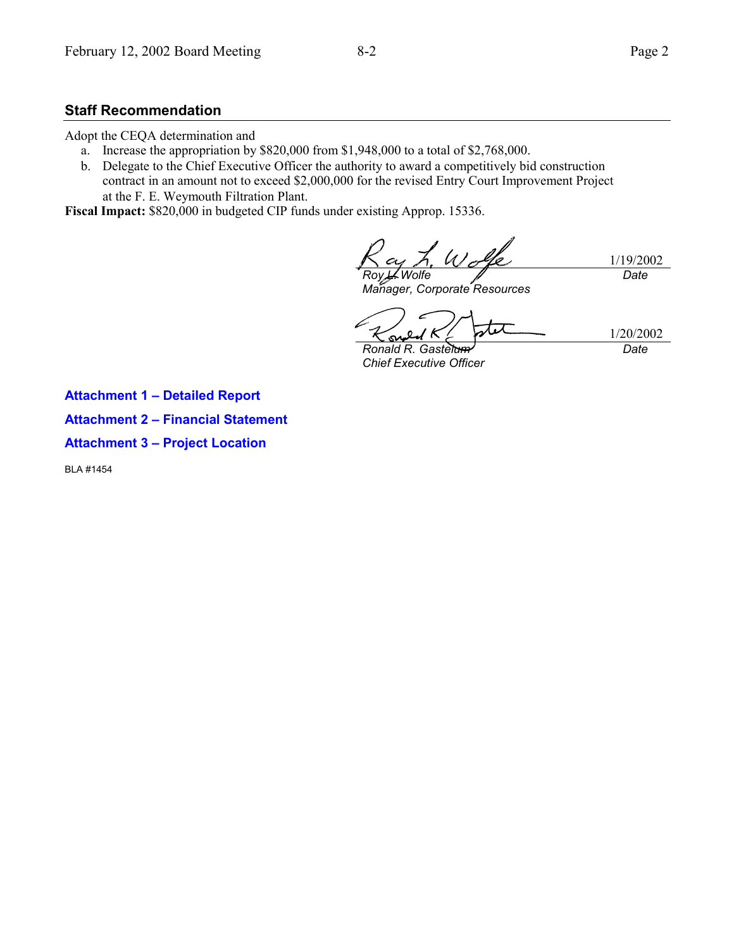### **Staff Recommendation**

Adopt the CEQA determination and

- a. Increase the appropriation by \$820,000 from \$1,948,000 to a total of \$2,768,000.
- b. Delegate to the Chief Executive Officer the authority to award a competitively bid construction contract in an amount not to exceed \$2,000,000 for the revised Entry Court Improvement Project at the F. E. Weymouth Filtration Plant.

**Fiscal Impact:** \$820,000 in budgeted CIP funds under existing Approp. 15336.

1/19/2002 *Roy L. Wolfe Date*

*Manager, Corporate Resources*

1/20/2002

*Ronald R. Gastelum Chief Executive Officer*

*Date*

**Attachment 1 - Detailed Report** 

**Attachment 2 - Financial Statement** 

**Attachment 3 - Project Location** 

BLA #1454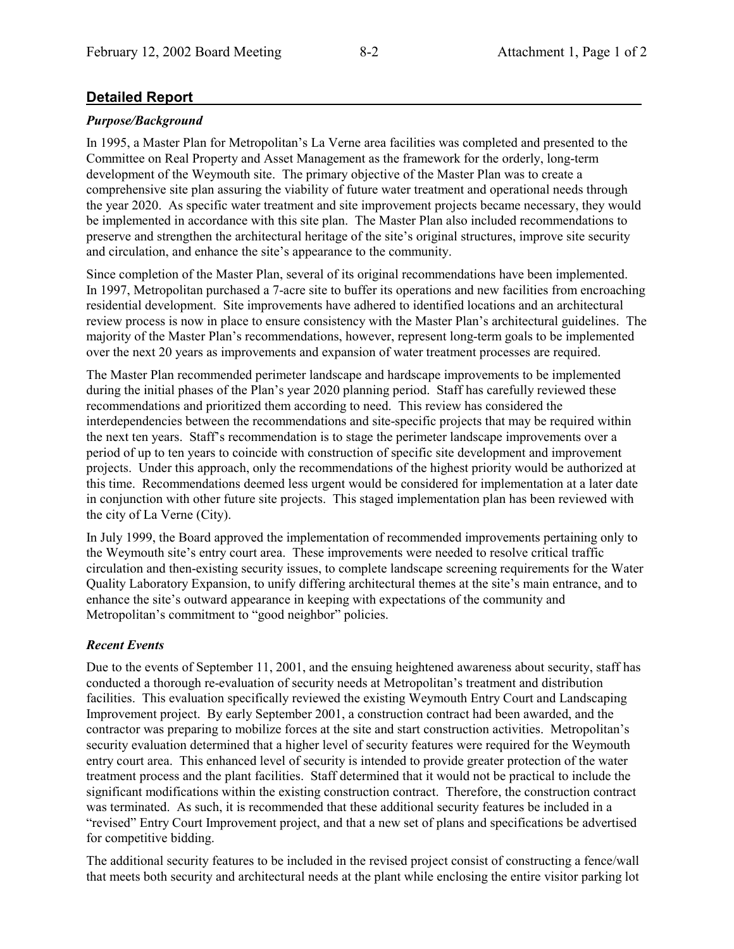### **Detailed Report**

### *Purpose/Background*

In 1995, a Master Plan for Metropolitanís La Verne area facilities was completed and presented to the Committee on Real Property and Asset Management as the framework for the orderly, long-term development of the Weymouth site. The primary objective of the Master Plan was to create a comprehensive site plan assuring the viability of future water treatment and operational needs through the year 2020. As specific water treatment and site improvement projects became necessary, they would be implemented in accordance with this site plan. The Master Plan also included recommendations to preserve and strengthen the architectural heritage of the site's original structures, improve site security and circulation, and enhance the site's appearance to the community.

Since completion of the Master Plan, several of its original recommendations have been implemented. In 1997, Metropolitan purchased a 7-acre site to buffer its operations and new facilities from encroaching residential development. Site improvements have adhered to identified locations and an architectural review process is now in place to ensure consistency with the Master Plan's architectural guidelines. The majority of the Master Plan's recommendations, however, represent long-term goals to be implemented over the next 20 years as improvements and expansion of water treatment processes are required.

The Master Plan recommended perimeter landscape and hardscape improvements to be implemented during the initial phases of the Plan's year 2020 planning period. Staff has carefully reviewed these recommendations and prioritized them according to need. This review has considered the interdependencies between the recommendations and site-specific projects that may be required within the next ten years. Staffís recommendation is to stage the perimeter landscape improvements over a period of up to ten years to coincide with construction of specific site development and improvement projects. Under this approach, only the recommendations of the highest priority would be authorized at this time. Recommendations deemed less urgent would be considered for implementation at a later date in conjunction with other future site projects. This staged implementation plan has been reviewed with the city of La Verne (City).

In July 1999, the Board approved the implementation of recommended improvements pertaining only to the Weymouth site's entry court area. These improvements were needed to resolve critical traffic circulation and then-existing security issues, to complete landscape screening requirements for the Water Quality Laboratory Expansion, to unify differing architectural themes at the site's main entrance, and to enhance the site's outward appearance in keeping with expectations of the community and Metropolitan's commitment to "good neighbor" policies.

### *Recent Events*

Due to the events of September 11, 2001, and the ensuing heightened awareness about security, staff has conducted a thorough re-evaluation of security needs at Metropolitan's treatment and distribution facilities. This evaluation specifically reviewed the existing Weymouth Entry Court and Landscaping Improvement project. By early September 2001, a construction contract had been awarded, and the contractor was preparing to mobilize forces at the site and start construction activities. Metropolitanís security evaluation determined that a higher level of security features were required for the Weymouth entry court area. This enhanced level of security is intended to provide greater protection of the water treatment process and the plant facilities. Staff determined that it would not be practical to include the significant modifications within the existing construction contract. Therefore, the construction contract was terminated. As such, it is recommended that these additional security features be included in a ìrevisedî Entry Court Improvement project, and that a new set of plans and specifications be advertised for competitive bidding.

The additional security features to be included in the revised project consist of constructing a fence/wall that meets both security and architectural needs at the plant while enclosing the entire visitor parking lot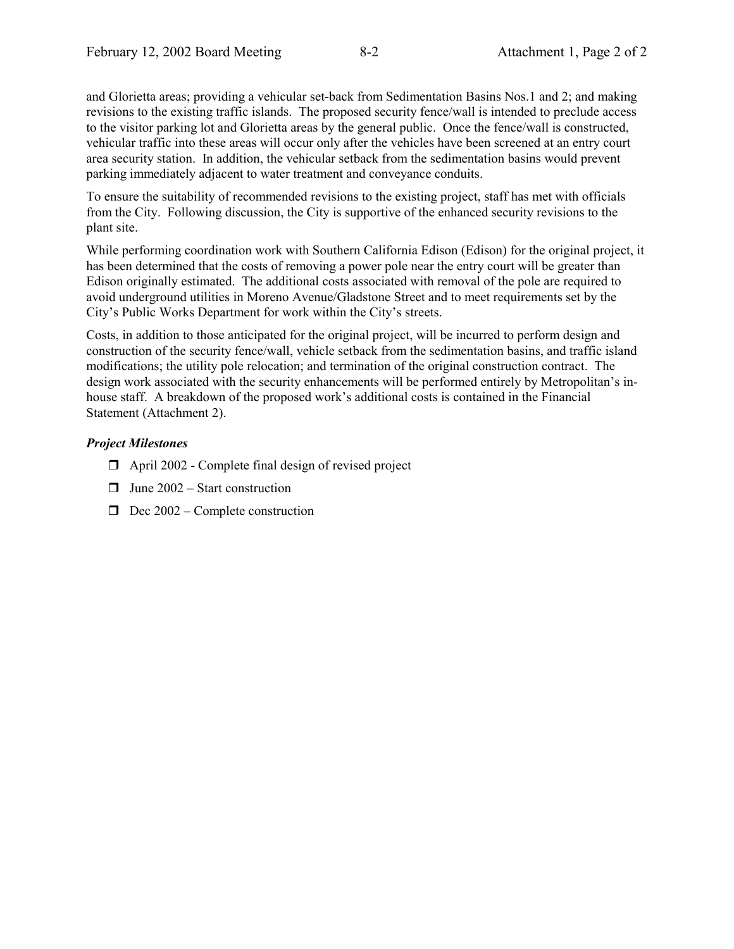and Glorietta areas; providing a vehicular set-back from Sedimentation Basins Nos.1 and 2; and making revisions to the existing traffic islands. The proposed security fence/wall is intended to preclude access to the visitor parking lot and Glorietta areas by the general public. Once the fence/wall is constructed, vehicular traffic into these areas will occur only after the vehicles have been screened at an entry court area security station. In addition, the vehicular setback from the sedimentation basins would prevent parking immediately adjacent to water treatment and conveyance conduits.

To ensure the suitability of recommended revisions to the existing project, staff has met with officials from the City. Following discussion, the City is supportive of the enhanced security revisions to the plant site.

While performing coordination work with Southern California Edison (Edison) for the original project, it has been determined that the costs of removing a power pole near the entry court will be greater than Edison originally estimated. The additional costs associated with removal of the pole are required to avoid underground utilities in Moreno Avenue/Gladstone Street and to meet requirements set by the City's Public Works Department for work within the City's streets.

Costs, in addition to those anticipated for the original project, will be incurred to perform design and construction of the security fence/wall, vehicle setback from the sedimentation basins, and traffic island modifications; the utility pole relocation; and termination of the original construction contract. The design work associated with the security enhancements will be performed entirely by Metropolitan's inhouse staff. A breakdown of the proposed work's additional costs is contained in the Financial Statement (Attachment 2).

#### *Project Milestones*

- $\Box$  April 2002 Complete final design of revised project
- $\Box$  June 2002 Start construction
- $\Box$  Dec 2002 Complete construction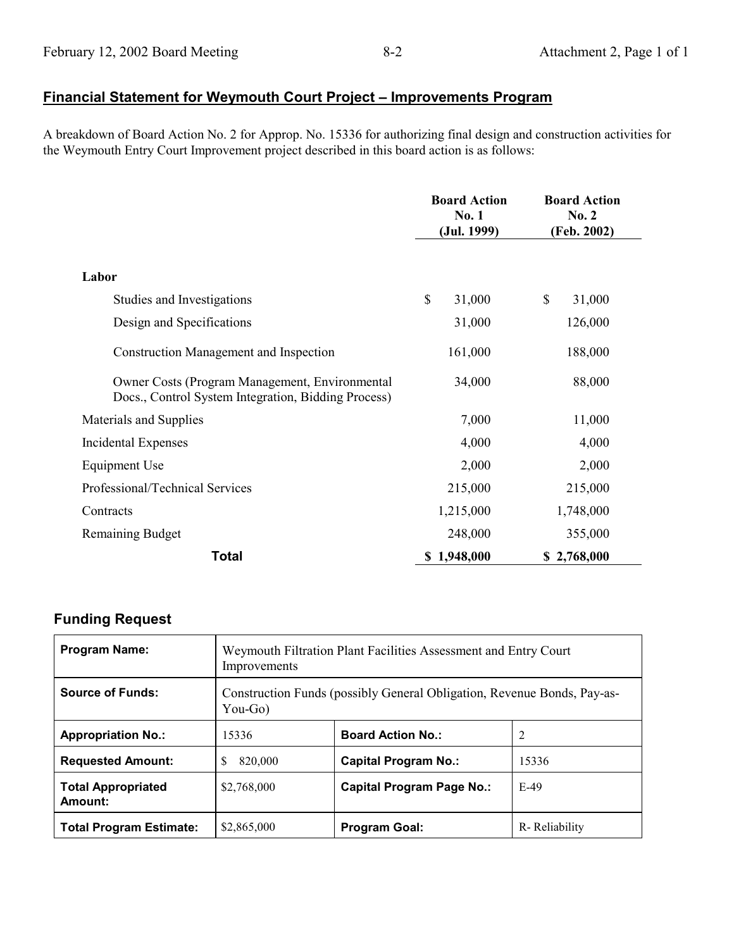## **<u>Financial Statement for Weymouth Court Project - Improvements Program</u>**

A breakdown of Board Action No. 2 for Approp. No. 15336 for authorizing final design and construction activities for the Weymouth Entry Court Improvement project described in this board action is as follows:

|                                                                                                       | <b>Board Action</b><br>No. 1<br>(Jul. 1999) | <b>Board Action</b><br>No. 2<br>(Feb. 2002) |
|-------------------------------------------------------------------------------------------------------|---------------------------------------------|---------------------------------------------|
| Labor                                                                                                 |                                             |                                             |
| Studies and Investigations                                                                            | \$<br>31,000                                | \$<br>31,000                                |
| Design and Specifications                                                                             | 31,000                                      | 126,000                                     |
| Construction Management and Inspection                                                                | 161,000                                     | 188,000                                     |
| Owner Costs (Program Management, Environmental<br>Docs., Control System Integration, Bidding Process) | 34,000                                      | 88,000                                      |
| Materials and Supplies                                                                                | 7,000                                       | 11,000                                      |
| Incidental Expenses                                                                                   | 4,000                                       | 4,000                                       |
| Equipment Use                                                                                         | 2,000                                       | 2,000                                       |
| Professional/Technical Services                                                                       | 215,000                                     | 215,000                                     |
| Contracts                                                                                             | 1,215,000                                   | 1,748,000                                   |
| Remaining Budget                                                                                      | 248,000                                     | 355,000                                     |
| <b>Total</b>                                                                                          | 1,948,000                                   | \$2,768,000                                 |

### **Funding Request**

| <b>Program Name:</b>                 | Weymouth Filtration Plant Facilities Assessment and Entry Court<br>Improvements       |                                  |               |
|--------------------------------------|---------------------------------------------------------------------------------------|----------------------------------|---------------|
| <b>Source of Funds:</b>              | Construction Funds (possibly General Obligation, Revenue Bonds, Pay-as-<br>You-Go $)$ |                                  |               |
| <b>Appropriation No.:</b>            | 15336                                                                                 | <b>Board Action No.:</b>         |               |
| <b>Requested Amount:</b>             | 820,000                                                                               | <b>Capital Program No.:</b>      | 15336         |
| <b>Total Appropriated</b><br>Amount: | \$2,768,000                                                                           | <b>Capital Program Page No.:</b> | $E-49$        |
| <b>Total Program Estimate:</b>       | \$2,865,000                                                                           | <b>Program Goal:</b>             | R-Reliability |